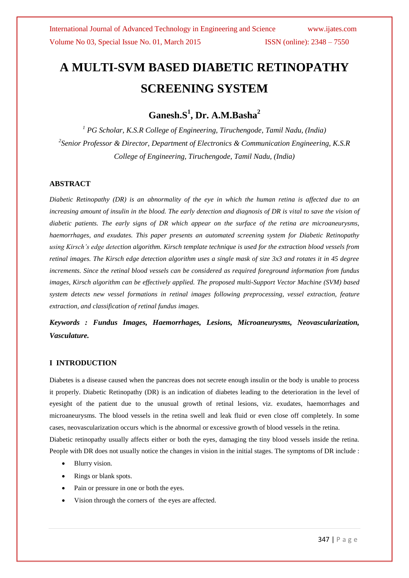# **A MULTI-SVM BASED DIABETIC RETINOPATHY SCREENING SYSTEM**

**Ganesh.S<sup>1</sup> , Dr. A.M.Basha<sup>2</sup>**

*<sup>1</sup> PG Scholar, K.S.R College of Engineering, Tiruchengode, Tamil Nadu, (India) 2 Senior Professor & Director, Department of Electronics & Communication Engineering, K.S.R College of Engineering, Tiruchengode, Tamil Nadu, (India)*

### **ABSTRACT**

*Diabetic Retinopathy (DR) is an abnormality of the eye in which the human retina is affected due to an increasing amount of insulin in the blood. The early detection and diagnosis of DR is vital to save the vision of diabetic patients. The early signs of DR which appear on the surface of the retina are microaneurysms, haemorrhages, and exudates. This paper presents an automated screening system for Diabetic Retinopathy using Kirsch's edge detection algorithm. Kirsch template technique is used for the extraction blood vessels from retinal images. The Kirsch edge detection algorithm uses a single mask of size 3x3 and rotates it in 45 degree increments. Since the retinal blood vessels can be considered as required foreground information from fundus images, Kirsch algorithm can be effectively applied. The proposed multi-Support Vector Machine (SVM) based system detects new vessel formations in retinal images following preprocessing, vessel extraction, feature extraction, and classification of retinal fundus images.*

*Keywords : Fundus Images, Haemorrhages, Lesions, Microaneurysms, Neovascularization, Vasculature.*

#### **I INTRODUCTION**

Diabetes is a disease caused when the pancreas does not secrete enough insulin or the body is unable to process it properly. Diabetic Retinopathy (DR) is an indication of diabetes leading to the deterioration in the level of eyesight of the patient due to the unusual growth of retinal lesions, viz. exudates, haemorrhages and microaneurysms. The blood vessels in the retina swell and leak fluid or even close off completely. In some cases, neovascularization occurs which is the abnormal or excessive growth of blood vessels in the retina.

Diabetic retinopathy usually affects either or both the eyes, damaging the tiny blood vessels inside the retina. People with DR does not usually notice the changes in vision in the initial stages. The symptoms of DR include :

- Blurry vision.
- Rings or blank spots.
- Pain or pressure in one or both the eyes.
- Vision through the corners of the eyes are affected.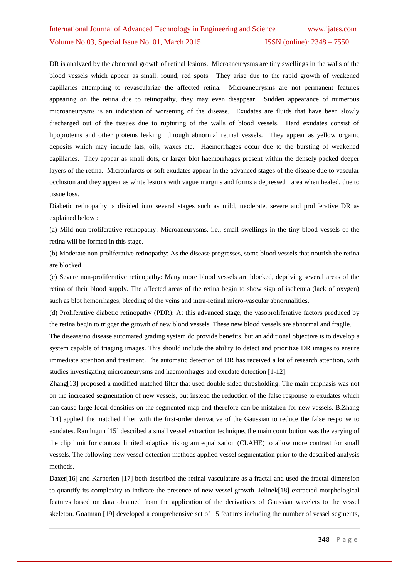DR is analyzed by the abnormal growth of retinal lesions. Microaneurysms are tiny swellings in the walls of the blood vessels which appear as small, round, red spots. They arise due to the rapid growth of weakened capillaries attempting to revascularize the affected retina. Microaneurysms are not permanent features appearing on the retina due to retinopathy, they may even disappear. Sudden appearance of numerous microaneurysms is an indication of worsening of the disease. Exudates are fluids that have been slowly discharged out of the tissues due to rupturing of the walls of blood vessels. Hard exudates consist of lipoproteins and other proteins leaking through abnormal retinal vessels. They appear as yellow organic deposits which may include fats, oils, waxes etc. Haemorrhages occur due to the bursting of weakened capillaries. They appear as small dots, or larger blot haemorrhages present within the densely packed deeper layers of the retina. Microinfarcts or soft exudates appear in the advanced stages of the disease due to vascular occlusion and they appear as white lesions with vague margins and forms a depressed area when healed, due to tissue loss.

Diabetic retinopathy is divided into several stages such as mild, moderate, severe and proliferative DR as explained below :

(a) Mild non-proliferative retinopathy: Microaneurysms, i.e., small swellings in the tiny blood vessels of the retina will be formed in this stage.

(b) Moderate non-proliferative retinopathy: As the disease progresses, some blood vessels that nourish the retina are blocked.

(c) Severe non-proliferative retinopathy: Many more blood vessels are blocked, depriving several areas of the retina of their blood supply. The affected areas of the retina begin to show sign of ischemia (lack of oxygen) such as blot hemorrhages, bleeding of the veins and intra-retinal micro-vascular abnormalities.

(d) Proliferative diabetic retinopathy (PDR): At this advanced stage, the vasoproliferative factors produced by the retina begin to trigger the growth of new blood vessels. These new blood vessels are abnormal and fragile.

The disease/no disease automated grading system do provide benefits, but an additional objective is to develop a system capable of triaging images. This should include the ability to detect and prioritize DR images to ensure immediate attention and treatment. The automatic detection of DR has received a lot of research attention, with studies investigating microaneurysms and haemorrhages and exudate detection [1-12].

Zhang[13] proposed a modified matched filter that used double sided thresholding. The main emphasis was not on the increased segmentation of new vessels, but instead the reduction of the false response to exudates which can cause large local densities on the segmented map and therefore can be mistaken for new vessels. B.Zhang [14] applied the matched filter with the first-order derivative of the Gaussian to reduce the false response to exudates. Ramlugun [15] described a small vessel extraction technique, the main contribution was the varying of the clip limit for contrast limited adaptive histogram equalization (CLAHE) to allow more contrast for small vessels. The following new vessel detection methods applied vessel segmentation prior to the described analysis methods.

Daxer[16] and Karperien [17] both described the retinal vasculature as a fractal and used the fractal dimension to quantify its complexity to indicate the presence of new vessel growth. Jelinek[18] extracted morphological features based on data obtained from the application of the derivatives of Gaussian wavelets to the vessel skeleton. Goatman [19] developed a comprehensive set of 15 features including the number of vessel segments,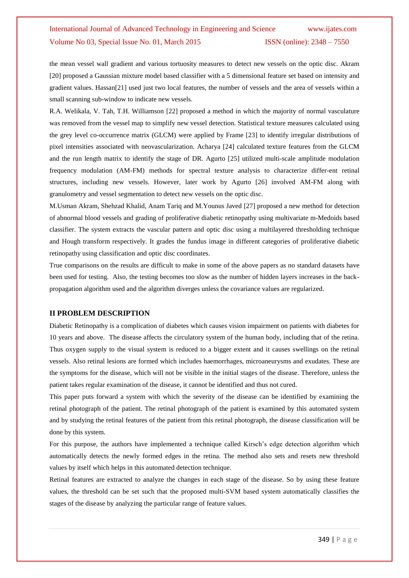the mean vessel wall gradient and various tortuosity measures to detect new vessels on the optic disc. Akram [20] proposed a Gaussian mixture model based classifier with a 5 dimensional feature set based on intensity and gradient values. Hassan[21] used just two local features, the number of vessels and the area of vessels within a small scanning sub-window to indicate new vessels.

R.A. Welikala, V. Tah, T.H. Williamson [22] proposed a method in which the majority of normal vasculature was removed from the vessel map to simplify new vessel detection. Statistical texture measures calculated using the grey level co-occurrence matrix (GLCM) were applied by Frame [23] to identify irregular distributions of pixel intensities associated with neovascularization. Acharya [24] calculated texture features from the GLCM and the run length matrix to identify the stage of DR. Agurto [25] utilized multi-scale amplitude modulation frequency modulation (AM-FM) methods for spectral texture analysis to characterize differ-ent retinal structures, including new vessels. However, later work by Agurto [26] involved AM-FM along with granulometry and vessel segmentation to detect new vessels on the optic disc.

M.Usman Akram, Shehzad Khalid, Anam Tariq and M.Younus Javed [27] proposed a new method for detection of abnormal blood vessels and grading of proliferative diabetic retinopathy using multivariate m-Medoids based classifier. The system extracts the vascular pattern and optic disc using a multilayered thresholding technique and Hough transform respectively. It grades the fundus image in different categories of proliferative diabetic retinopathy using classification and optic disc coordinates.

True comparisons on the results are difficult to make in some of the above papers as no standard datasets have been used for testing. Also, the testing becomes too slow as the number of hidden layers increases in the backpropagation algorithm used and the algorithm diverges unless the covariance values are regularized.

#### **II PROBLEM DESCRIPTION**

Diabetic Retinopathy is a complication of diabetes which causes vision impairment on patients with diabetes for 10 years and above. The disease affects the circulatory system of the human body, including that of the retina. Thus oxygen supply to the visual system is reduced to a bigger extent and it causes swellings on the retinal vessels. Also retinal lesions are formed which includes haemorrhages, microaneurysms and exudates. These are the symptoms for the disease, which will not be visible in the initial stages of the disease. Therefore, unless the patient takes regular examination of the disease, it cannot be identified and thus not cured.

This paper puts forward a system with which the severity of the disease can be identified by examining the retinal photograph of the patient. The retinal photograph of the patient is examined by this automated system and by studying the retinal features of the patient from this retinal photograph, the disease classification will be done by this system.

For this purpose, the authors have implemented a technique called Kirsch's edge detection algorithm which automatically detects the newly formed edges in the retina. The method also sets and resets new threshold values by itself which helps in this automated detection technique.

Retinal features are extracted to analyze the changes in each stage of the disease. So by using these feature values, the threshold can be set such that the proposed multi-SVM based system automatically classifies the stages of the disease by analyzing the particular range of feature values.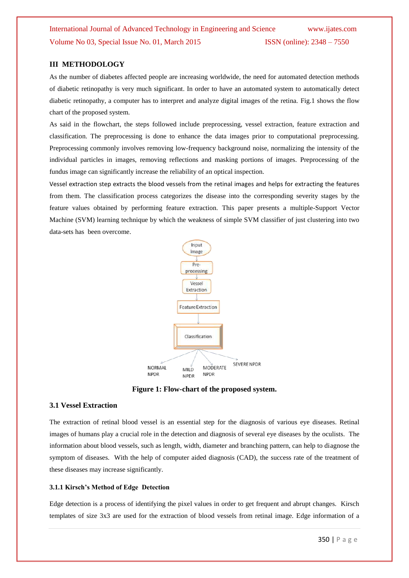### **III METHODOLOGY**

As the number of diabetes affected people are increasing worldwide, the need for automated detection methods of diabetic retinopathy is very much significant. In order to have an automated system to automatically detect diabetic retinopathy, a computer has to interpret and analyze digital images of the retina. Fig.1 shows the flow chart of the proposed system.

As said in the flowchart, the steps followed include preprocessing, vessel extraction, feature extraction and classification. The preprocessing is done to enhance the data images prior to computational preprocessing. Preprocessing commonly involves removing low-frequency background noise, normalizing the intensity of the individual particles in images, removing reflections and masking portions of images. Preprocessing of the fundus image can significantly increase the reliability of an optical inspection.

Vessel extraction step extracts the blood vessels from the retinal images and helps for extracting the features from them. The classification process categorizes the disease into the corresponding severity stages by the feature values obtained by performing feature extraction. This paper presents a multiple-Support Vector Machine (SVM) learning technique by which the weakness of simple SVM classifier of just clustering into two data-sets has been overcome.



**Figure 1: Flow-chart of the proposed system.**

#### **3.1 Vessel Extraction**

The extraction of retinal blood vessel is an essential step for the diagnosis of various eye diseases. Retinal images of humans play a crucial role in the detection and diagnosis of several eye diseases by the oculists. The information about blood vessels, such as length, width, diameter and branching pattern, can help to diagnose the symptom of diseases. With the help of computer aided diagnosis (CAD), the success rate of the treatment of these diseases may increase significantly.

#### **3.1.1 Kirsch's Method of Edge Detection**

Edge detection is a process of identifying the pixel values in order to get frequent and abrupt changes. Kirsch templates of size 3x3 are used for the extraction of blood vessels from retinal image. Edge information of a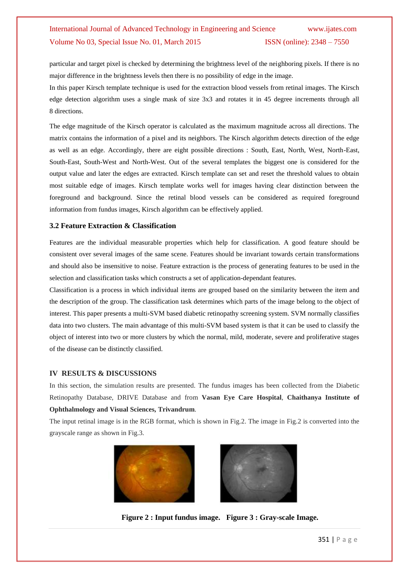particular and target pixel is checked by determining the brightness level of the neighboring pixels. If there is no major difference in the brightness levels then there is no possibility of edge in the image.

In this paper Kirsch template technique is used for the extraction blood vessels from retinal images. The Kirsch edge detection algorithm uses a single mask of size 3x3 and rotates it in 45 degree increments through all 8 directions.

The edge magnitude of the Kirsch operator is calculated as the maximum magnitude across all directions. The matrix contains the information of a pixel and its neighbors. The Kirsch algorithm detects direction of the edge as well as an edge. Accordingly, there are eight possible directions : South, East, North, West, North-East, South-East, South-West and North-West. Out of the several templates the biggest one is considered for the output value and later the edges are extracted. Kirsch template can set and reset the threshold values to obtain most suitable edge of images. Kirsch template works well for images having clear distinction between the foreground and background. Since the retinal blood vessels can be considered as required foreground information from fundus images, Kirsch algorithm can be effectively applied.

#### **3.2 Feature Extraction & Classification**

Features are the individual measurable properties which help for classification. A good feature should be consistent over several images of the same scene. Features should be invariant towards certain transformations and should also be insensitive to noise. Feature extraction is the process of generating features to be used in the selection and classification tasks which constructs a set of application-dependant features.

Classification is a process in which individual items are grouped based on the similarity between the item and the description of the group. The classification task determines which parts of the image belong to the object of interest. This paper presents a multi-SVM based diabetic retinopathy screening system. SVM normally classifies data into two clusters. The main advantage of this multi-SVM based system is that it can be used to classify the object of interest into two or more clusters by which the normal, mild, moderate, severe and proliferative stages of the disease can be distinctly classified.

#### **IV RESULTS & DISCUSSIONS**

In this section, the simulation results are presented. The fundus images has been collected from the Diabetic Retinopathy Database, DRIVE Database and from **Vasan Eye Care Hospital**, **Chaithanya Institute of Ophthalmology and Visual Sciences, Trivandrum**.

The input retinal image is in the RGB format, which is shown in Fig.2. The image in Fig.2 is converted into the grayscale range as shown in Fig.3.



 **Figure 2 : Input fundus image. Figure 3 : Gray-scale Image.**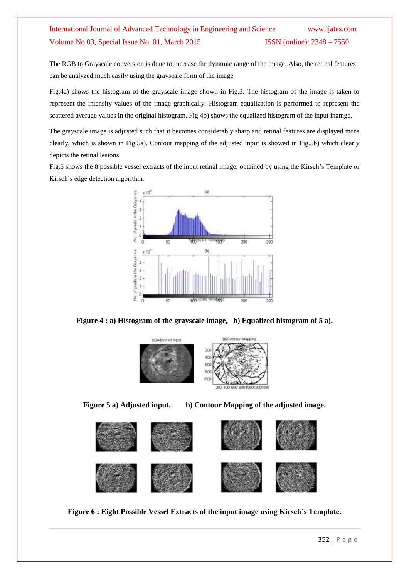The RGB to Grayscale conversion is done to increase the dynamic range of the image. Also, the retinal features can be analyzed much easily using the grayscale form of the image.

Fig.4a) shows the histogram of the grayscale image shown in Fig.3. The histogram of the image is taken to represent the intensity values of the image graphically. Histogram equalization is performed to represent the scattered average values in the original histogram. Fig.4b) shows the equalized histogram of the input inamge.

The grayscale image is adjusted such that it becomes considerably sharp and retinal features are displayed more clearly, which is shown in Fig.5a). Contour mapping of the adjusted input is showed in Fig.5b) which clearly depicts the retinal lesions.

Fig.6 shows the 8 possible vessel extracts of the input retinal image, obtained by using the Kirsch's Template or Kirsch's edge detection algorithm.



**Figure 4 : a) Histogram of the grayscale image, b) Equalized histogram of 5 a).**





**Figure 6 : Eight Possible Vessel Extracts of the input image using Kirsch's Template.**

352 | P a g e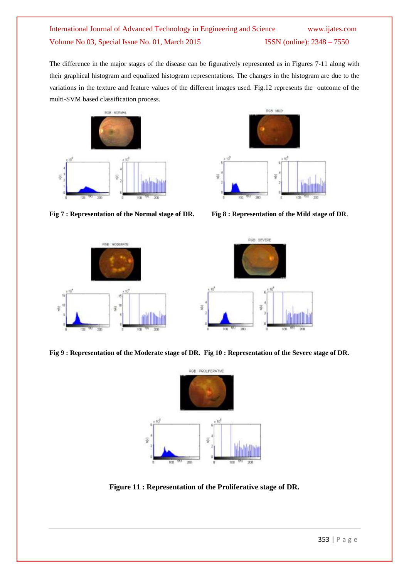The difference in the major stages of the disease can be figuratively represented as in Figures 7-11 along with their graphical histogram and equalized histogram representations. The changes in the histogram are due to the variations in the texture and feature values of the different images used. Fig.12 represents the outcome of the multi-SVM based classification process.



**Fig 7 : Representation of the Normal stage of DR. Fig 8 : Representation of the Mild stage of DR**.





**Fig 9 : Representation of the Moderate stage of DR. Fig 10 : Representation of the Severe stage of DR.**



**Figure 11 : Representation of the Proliferative stage of DR.**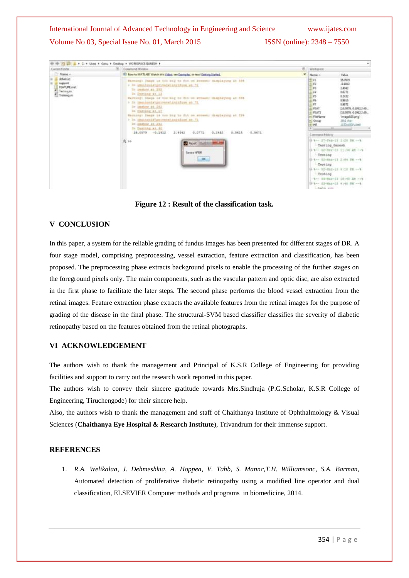International Journal of Advanced Technology in Engineering and Science www.ijates.com

### Volume No 03, Special Issue No. 01, March 2015 ISSN (online): 2348 - 7550

| Current Folder                                                                                   | Conversion Window                                                                                                                                                                                                                                                                                                                                                                                                                                                                                                                                                                                      | 由            | Wertquere                                                                                                                                                                                                                                                                                                                                                                                                                                                                                                                                                                                                        |
|--------------------------------------------------------------------------------------------------|--------------------------------------------------------------------------------------------------------------------------------------------------------------------------------------------------------------------------------------------------------------------------------------------------------------------------------------------------------------------------------------------------------------------------------------------------------------------------------------------------------------------------------------------------------------------------------------------------------|--------------|------------------------------------------------------------------------------------------------------------------------------------------------------------------------------------------------------------------------------------------------------------------------------------------------------------------------------------------------------------------------------------------------------------------------------------------------------------------------------------------------------------------------------------------------------------------------------------------------------------------|
| <b>Name in</b>                                                                                   | (E) New to MATLABT Watch this Value, see Economy, or real Gatting Statistic                                                                                                                                                                                                                                                                                                                                                                                                                                                                                                                            | $\mathbb{R}$ | <b>Value</b><br>Name -                                                                                                                                                                                                                                                                                                                                                                                                                                                                                                                                                                                           |
| database<br><b>Bushington</b><br><b>FEATURE mat</b><br><sup>8</sup> Testing m.<br>F. Training in | Darming: Jespe La ton big to fit on avress: displaying at \$28<br>> In unatrolatecimizationities at 12<br>In pathole at 312<br>De Terting at 12<br>Warning: Doope is the hog no fit on serven: displaying at fit<br>h Em inschneistigetowestinishess at Ti<br>Dr inishmy at 232<br>In Tasting At. 17<br>Machine: Deeps La too big to fit on scosse; displaying at ITA<br>> In implications that classified at Ti<br>In anotas at III.<br>De Fersing at 40<br>14.0979 -0.1912<br>0.0415 0.0471<br>2.4082<br>0.0111<br>0.7452<br>96.33<br><b>B</b> Realt <b>Scale Company</b><br>Seven NFDR<br>$\propto$ |              | 田田<br>16.0976<br>土权<br>$-2.1952$<br>田村<br>2,4942<br>84774<br>$\frac{1}{2}$ Fit<br>田市<br>8,2452<br>$+ 14$<br>8:4613<br>$+77$<br>5,9571<br>156,0009 -0.1013 7.40<br><b>HI FEAT</b><br>TRATE<br>日5次回場 4-1012 7-49<br>- FileName<br>VrseeA25.pxg<br>Cross<br>38d clar<br><b>HIME</b><br>1252a1300 centil<br>$-44-$<br>$+1$<br>Command Holton<br>0 4 - 37-240-23 1:20 BM<br>-Testing Genesh<br>H-1- S2-May-15 11:56 28 -- 5<br>$-$ Teating<br>0-4-- 02-mar-11 2:04 PK -- 4<br>-Testing<br>0 4-- 52-mar-15 8118 88 -- 4<br>Testing<br>-4-- 23-Mar-13 13:41 IN -- 4<br>15-8-- 03-Mar-13 8140 SM -- 6<br>L. Bakkey areas |

**Figure 12 : Result of the classification task.**

#### **V CONCLUSION**

In this paper, a system for the reliable grading of fundus images has been presented for different stages of DR. A four stage model, comprising preprocessing, vessel extraction, feature extraction and classification, has been proposed. The preprocessing phase extracts background pixels to enable the processing of the further stages on the foreground pixels only. The main components, such as the vascular pattern and optic disc, are also extracted in the first phase to facilitate the later steps. The second phase performs the blood vessel extraction from the retinal images. Feature extraction phase extracts the available features from the retinal images for the purpose of grading of the disease in the final phase. The structural-SVM based classifier classifies the severity of diabetic retinopathy based on the features obtained from the retinal photographs.

#### **VI ACKNOWLEDGEMENT**

The authors wish to thank the management and Principal of K.S.R College of Engineering for providing facilities and support to carry out the research work reported in this paper.

The authors wish to convey their sincere gratitude towards Mrs.Sindhuja (P.G.Scholar, K.S.R College of Engineering, Tiruchengode) for their sincere help.

Also, the authors wish to thank the management and staff of Chaithanya Institute of Ophthalmology & Visual Sciences (**Chaithanya Eye Hospital & Research Institute**), Trivandrum for their immense support.

#### **REFERENCES**

1. *R.A. Welikalaa, J. Dehmeshkia, A. Hoppea, V. Tahb, S. Mannc,T.H. Williamsonc, S.A. Barman,*  Automated detection of proliferative diabetic retinopathy using a modified line operator and dual classification*,* ELSEVIER Computer methods and programs in biomedicine, 2014.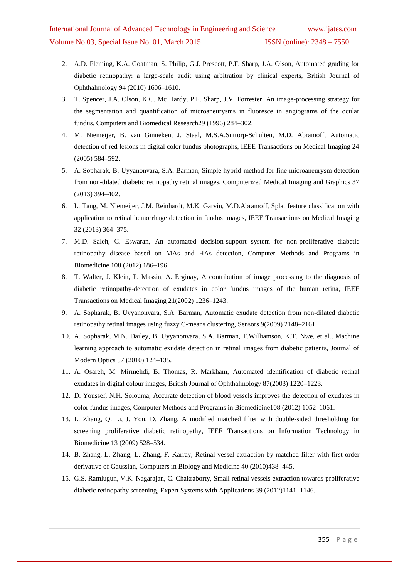- 2. A.D. Fleming, K.A. Goatman, S. Philip, G.J. Prescott, P.F. Sharp, J.A. Olson, Automated grading for diabetic retinopathy: a large-scale audit using arbitration by clinical experts, British Journal of Ophthalmology 94 (2010) 1606–1610.
- 3. T. Spencer, J.A. Olson, K.C. Mc Hardy, P.F. Sharp, J.V. Forrester, An image-processing strategy for the segmentation and quantification of microaneurysms in fluoresce in angiograms of the ocular fundus, Computers and Biomedical Research29 (1996) 284–302.
- 4. M. Niemeijer, B. van Ginneken, J. Staal, M.S.A.Suttorp-Schulten, M.D. Abramoff, Automatic detection of red lesions in digital color fundus photographs, IEEE Transactions on Medical Imaging 24 (2005) 584–592.
- 5. A. Sopharak, B. Uyyanonvara, S.A. Barman, Simple hybrid method for fine microaneurysm detection from non-dilated diabetic retinopathy retinal images, Computerized Medical Imaging and Graphics 37 (2013) 394–402.
- 6. L. Tang, M. Niemeijer, J.M. Reinhardt, M.K. Garvin, M.D.Abramoff, Splat feature classification with application to retinal hemorrhage detection in fundus images, IEEE Transactions on Medical Imaging 32 (2013) 364–375.
- 7. M.D. Saleh, C. Eswaran, An automated decision-support system for non-proliferative diabetic retinopathy disease based on MAs and HAs detection, Computer Methods and Programs in Biomedicine 108 (2012) 186–196.
- 8. T. Walter, J. Klein, P. Massin, A. Erginay, A contribution of image processing to the diagnosis of diabetic retinopathy-detection of exudates in color fundus images of the human retina, IEEE Transactions on Medical Imaging 21(2002) 1236–1243.
- 9. A. Sopharak, B. Uyyanonvara, S.A. Barman, Automatic exudate detection from non-dilated diabetic retinopathy retinal images using fuzzy C-means clustering, Sensors 9(2009) 2148–2161.
- 10. A. Sopharak, M.N. Dailey, B. Uyyanonvara, S.A. Barman, T.Williamson, K.T. Nwe, et al., Machine learning approach to automatic exudate detection in retinal images from diabetic patients, Journal of Modern Optics 57 (2010) 124–135.
- 11. A. Osareh, M. Mirmehdi, B. Thomas, R. Markham, Automated identification of diabetic retinal exudates in digital colour images, British Journal of Ophthalmology 87(2003) 1220–1223.
- 12. D. Youssef, N.H. Solouma, Accurate detection of blood vessels improves the detection of exudates in color fundus images, Computer Methods and Programs in Biomedicine108 (2012) 1052–1061.
- 13. L. Zhang, Q. Li, J. You, D. Zhang, A modified matched filter with double-sided thresholding for screening proliferative diabetic retinopathy, IEEE Transactions on Information Technology in Biomedicine 13 (2009) 528–534.
- 14. B. Zhang, L. Zhang, L. Zhang, F. Karray, Retinal vessel extraction by matched filter with first-order derivative of Gaussian, Computers in Biology and Medicine 40 (2010)438–445.
- 15. G.S. Ramlugun, V.K. Nagarajan, C. Chakraborty, Small retinal vessels extraction towards proliferative diabetic retinopathy screening, Expert Systems with Applications 39 (2012)1141–1146.